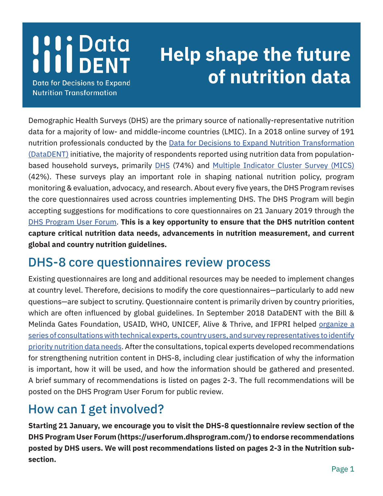## **I'li Data**<br>Ill DENT

**Data for Decisions to Expand Nutrition Transformation** 

## **Help shape the future of nutrition data**

Demographic Health Surveys (DHS) are the primary source of nationally-representative nutrition data for a majority of low- and middle-income countries (LMIC). In a 2018 online survey of 191 nutrition professionals conducted by the [Data for Decisions to Expand Nutrition Transformation](https://datadent.org/)  [\(DataDENT\)](https://datadent.org/) initiative, the majority of respondents reported using nutrition data from populationbased household surveys, primarily [DHS](https://dhsprogram.com/) (74%) and [Multiple Indicator Cluster Survey \(MICS\)](http://mics.unicef.org/) (42%). These surveys play an important role in shaping national nutrition policy, program monitoring & evaluation, advocacy, and research. About every five years, the DHS Program revises the core questionnaires used across countries implementing DHS. The DHS Program will begin accepting suggestions for modifications to core questionnaires on 21 January 2019 through the [DHS Program User Forum](https://userforum.dhsprogram.com/). **This is a key opportunity to ensure that the DHS nutrition content capture critical nutrition data needs, advancements in nutrition measurement, and current global and country nutrition guidelines.** 

## DHS-8 core questionnaires review process

Existing questionnaires are long and additional resources may be needed to implement changes at country level. Therefore, decisions to modify the core questionnaires—particularly to add new questions—are subject to scrutiny. Questionnaire content is primarily driven by country priorities, which are often influenced by global guidelines. In September 2018 DataDENT with the Bill & Melinda Gates Foundation, USAID, WHO, UNICEF, Alive & Thrive, and IFPRI helped [organize a](https://datadent.org/2018/10/19/advancenutritionmeasurement/)  [series of consultations with technical experts, country users, and survey representatives to identify](https://datadent.org/2018/10/19/advancenutritionmeasurement/)  [priority nutrition data needs](https://datadent.org/2018/10/19/advancenutritionmeasurement/). After the consultations, topical experts developed recommendations for strengthening nutrition content in DHS-8, including clear justification of why the information is important, how it will be used, and how the information should be gathered and presented. A brief summary of recommendations is listed on pages 2-3. The full recommendations will be posted on the DHS Program User Forum for public review.

## How can I get involved?

**Starting 21 January, we encourage you to visit the DHS-8 questionnaire review section of the DHS Program User Forum (https://userforum.dhsprogram.com/) to endorse recommendations posted by DHS users. We will post recommendations listed on pages 2-3 in the Nutrition subsection.**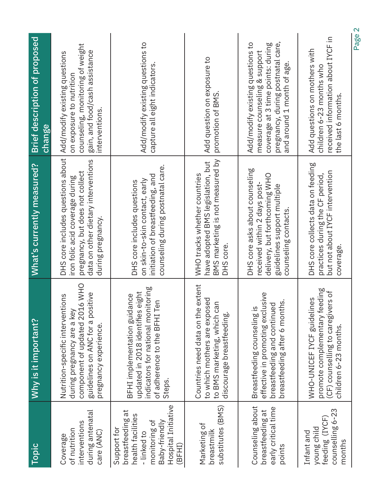| Topic                                                                                                                                  | Why is it important?                                                                                                                                         | What's currently measured?                                                                                                                                          | Brief description of proposed<br>change                                                                                                                                  |
|----------------------------------------------------------------------------------------------------------------------------------------|--------------------------------------------------------------------------------------------------------------------------------------------------------------|---------------------------------------------------------------------------------------------------------------------------------------------------------------------|--------------------------------------------------------------------------------------------------------------------------------------------------------------------------|
| during antenatal<br>interventions<br>of nutrition<br>care (ANC)<br>Coverage                                                            | component of updated 2016 WHO<br>guidelines on ANC for a positive<br>Nutrition-specific interventions<br>during pregnancy are a key<br>pregnancy experience. | DHS core includes questions about<br>data on other dietary interventions<br>pregnancy, but does not collect<br>iron folic acid coverage during<br>during pregnancy. | counseling, monitoring of weight<br>gain, and food/cash assistance<br>Add/modify existing questions<br>on exposure to nutrition<br>interventions.                        |
| Hospital Initiative<br>breastfeeding at<br>health facilities<br>monitoring of<br>Baby-friendly<br>Support for<br>- linked to<br>(BFHI) | indicators for national monitoring<br>updated in 2018 identifies eight<br>BFHI implementation guidance<br>of adherence to the BFHI Ten<br>Steps.             | counseling during postnatal care.<br>initiation of breastfeeding, and<br>on skin-to-skin contact, early<br>DHS core includes questions                              | Add/modify existing questions to<br>capture all eight indicators.                                                                                                        |
| substitutes (BMS)<br>Marketing of<br>breastmilk                                                                                        | Countries need data on the extent<br>to which mothers are exposed<br>to BMS marketing, which can<br>discourage breastfeeding.                                | BMS marketing is not measured by<br>have adopted BMS legislation, but<br>WHO tracks whether countries<br>DHS core.                                                  | Add question on exposure to<br>promotion of BMS.                                                                                                                         |
| Counseling about<br>early critical time<br>breastfeeding at<br>points                                                                  | effective in promoting exclusive<br>breastfeeding after 6 months.<br>breastfeeding and continued<br>Breastfeeding counseling is                              | DHS core asks about counseling<br>delivery, but forthcoming WHO<br>received within 2 days post-<br>guidelines support multiple<br>counseling contacts.              | pregnancy, during postnatal care,<br>Add/modify existing questions to<br>coverage at 3 time points: during<br>measure counseling & support<br>and around 1 month of age. |
| counselling 6-23<br>feeding (IYCF)<br>young child<br>Infant and<br>months                                                              | promote complementary feeding<br>(CF) counselling to caregivers of<br>WHO-UNICEF IYCF guidelines<br>children 6-23 months.                                    | DHS core collects data on feeding<br>but not about IYCF intervention<br>practices during the CF period,<br>coverage.                                                | received information about IYCF in<br>Add questions on mothers with<br>children 6-23 months who<br>the last 6 months.                                                    |
|                                                                                                                                        |                                                                                                                                                              |                                                                                                                                                                     | Page 2                                                                                                                                                                   |